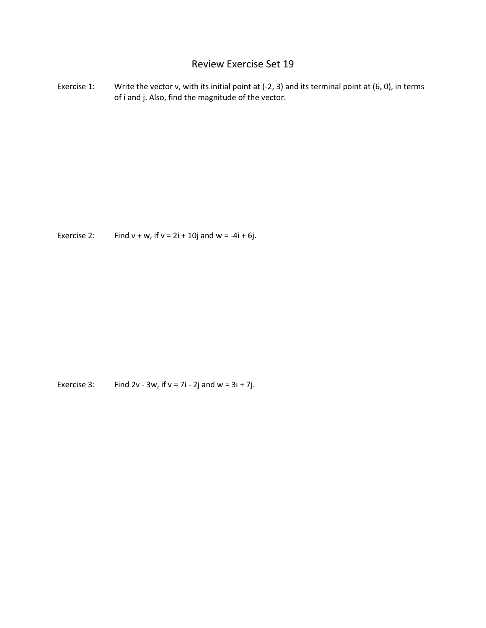## Review Exercise Set 19

Exercise 1: Write the vector v, with its initial point at (-2, 3) and its terminal point at (6, 0), in terms of i and j. Also, find the magnitude of the vector.

Exercise 2: Find  $v + w$ , if  $v = 2i + 10j$  and  $w = -4i + 6j$ .

Exercise 3: Find 2v - 3w, if  $v = 7i - 2j$  and  $w = 3i + 7j$ .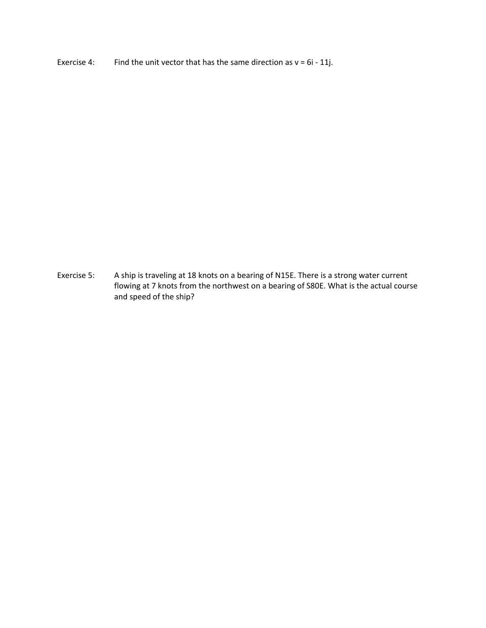Exercise 4: Find the unit vector that has the same direction as  $v = 6i - 11j$ .

Exercise 5: A ship is traveling at 18 knots on a bearing of N15E. There is a strong water current flowing at 7 knots from the northwest on a bearing of S80E. What is the actual course and speed of the ship?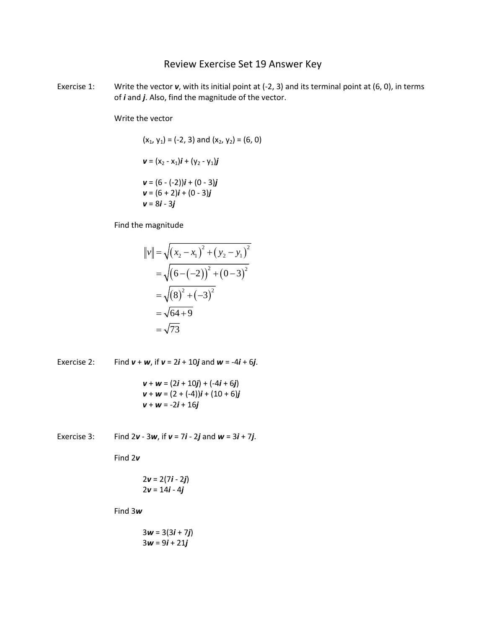## Review Exercise Set 19 Answer Key

Exercise 1: Write the vector **v**, with its initial point at (-2, 3) and its terminal point at (6, 0), in terms of *i* and *j*. Also, find the magnitude of the vector.

Write the vector

$$
(\mathbf{x}_1, \mathbf{y}_1) = (-2, 3) \text{ and } (\mathbf{x}_2, \mathbf{y}_2) = (6, 0)
$$
  

$$
\mathbf{v} = (\mathbf{x}_2 - \mathbf{x}_1)\mathbf{i} + (\mathbf{y}_2 - \mathbf{y}_1)\mathbf{j}
$$
  

$$
\mathbf{v} = (6 - (-2))\mathbf{i} + (0 - 3)\mathbf{j}
$$
  

$$
\mathbf{v} = (6 + 2)\mathbf{i} + (0 - 3)\mathbf{j}
$$
  

$$
\mathbf{v} = 8\mathbf{i} - 3\mathbf{j}
$$

Find the magnitude

$$
||v|| = \sqrt{(x_2 - x_1)^2 + (y_2 - y_1)^2}
$$
  
=  $\sqrt{(6 - (-2))^2 + (0 - 3)^2}$   
=  $\sqrt{(8)^2 + (-3)^2}$   
=  $\sqrt{64 + 9}$   
=  $\sqrt{73}$ 

Exercise 2: Find  $v + w$ , if  $v = 2i + 10j$  and  $w = -4i + 6j$ .  $v + w = (2i + 10j) + (-4i + 6j)$ 

$$
v + w = (2 + (-4))i + (10 + 6)j
$$
  

$$
v + w = -2i + 16j
$$

Exercise 3: Find  $2v - 3w$ , if  $v = 7i - 2j$  and  $w = 3i + 7j$ .

Find 2*v*

$$
2v = 2(7i - 2j)
$$

$$
2v = 14i - 4j
$$

Find 3*w*

$$
3w = 3(3i + 7j)
$$
  
3w = 9i + 21j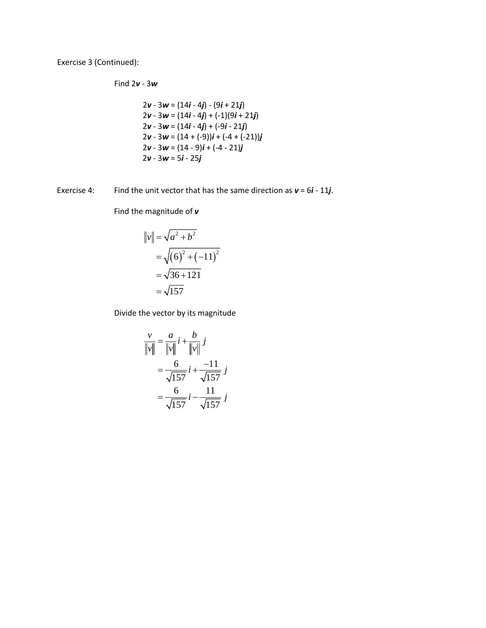Exercise 3 (Continued):

Find 2*v* - 3*w*

$$
2v - 3w = (14i - 4j) - (9i + 21j)
$$
  
\n
$$
2v - 3w = (14i - 4j) + (-1)(9i + 21j)
$$
  
\n
$$
2v - 3w = (14i - 4j) + (-9i - 21j)
$$
  
\n
$$
2v - 3w = (14 + (-9))i + (-4 + (-21))j
$$
  
\n
$$
2v - 3w = (14 - 9)i + (-4 - 21)j
$$
  
\n
$$
2v - 3w = 5i - 25j
$$

Exercise 4: Find the unit vector that has the same direction as  $v = 6i - 11j$ .

Find the magnitude of *v*

$$
||v|| = \sqrt{a^2 + b^2}
$$
  
=  $\sqrt{(6)^2 + (-11)^2}$   
=  $\sqrt{36 + 121}$   
=  $\sqrt{157}$ 

Divide the vector by its magnitude

$$
\frac{v}{\|v\|} = \frac{a}{\|v\|} i + \frac{b}{\|v\|} j
$$

$$
= \frac{6}{\sqrt{157}} i + \frac{-11}{\sqrt{157}} j
$$

$$
= \frac{6}{\sqrt{157}} i - \frac{11}{\sqrt{157}} j
$$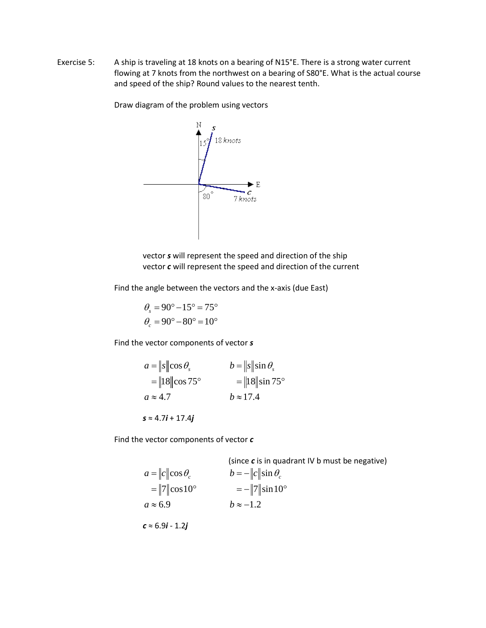Exercise 5: A ship is traveling at 18 knots on a bearing of N15°E. There is a strong water current flowing at 7 knots from the northwest on a bearing of S80°E. What is the actual course and speed of the ship? Round values to the nearest tenth.

Draw diagram of the problem using vectors



vector *s* will represent the speed and direction of the ship vector *c* will represent the speed and direction of the current

Find the angle between the vectors and the x-axis (due East)

$$
\theta_s = 90^\circ - 15^\circ = 75^\circ
$$
  

$$
\theta_c = 90^\circ - 80^\circ = 10^\circ
$$

Find the vector components of vector *s*

$$
a = \|s\| \cos \theta, \qquad b = \|s\| \sin \theta, = \|18\| \cos 75^{\circ} \qquad = \|18\| \sin 75^{\circ} a \approx 4.7 \qquad b \approx 17.4
$$

*s* ≈ 4.7*i* + 17.4*j*

Find the vector components of vector *c*

(since **c** is in quadrant IV b must be negative)  
\n
$$
a = ||c|| \cos \theta_c
$$
\n
$$
= ||7|| \cos 10^\circ
$$
\n
$$
a \approx 6.9
$$
\n
$$
b = -||c|| \sin \theta_c
$$
\n
$$
= -||7|| \sin 10^\circ
$$
\n
$$
b \approx -1.2
$$
\n
$$
c \approx 6.9i - 1.2j
$$